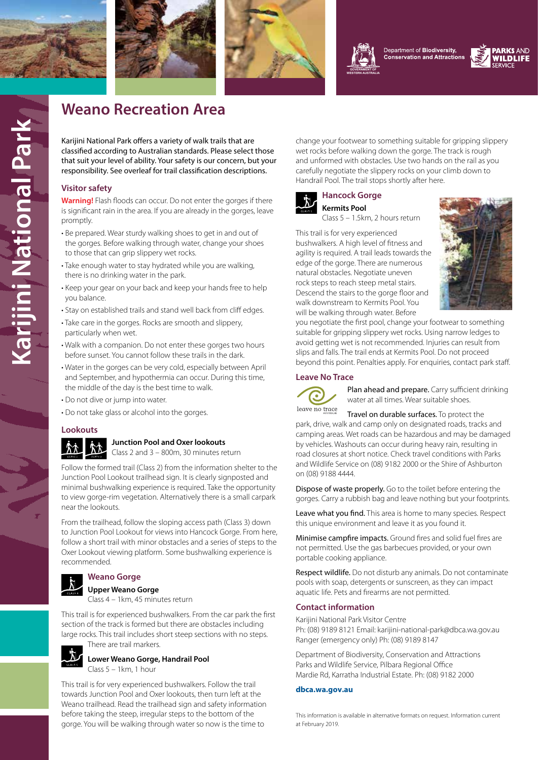





Department of Biodiversity, **Conservation and Attractions** 



## **Weano Recreation Area**

Karijini National Park offers a variety of walk trails that are classified according to Australian standards. Please select those that suit your level of ability. Your safety is our concern, but your responsibility. See overleaf for trail classification descriptions.

#### **Visitor safety**

**Warning!** Flash floods can occur. Do not enter the gorges if there is significant rain in the area. If you are already in the gorges, leave promptly.

- Be prepared. Wear sturdy walking shoes to get in and out of the gorges. Before walking through water, change your shoes to those that can grip slippery wet rocks.
- Take enough water to stay hydrated while you are walking, there is no drinking water in the park.
- Keep your gear on your back and keep your hands free to help you balance.
- Stay on established trails and stand well back from cliff edges.
- Take care in the gorges. Rocks are smooth and slippery, particularly when wet.
- Walk with a companion. Do not enter these gorges two hours before sunset. You cannot follow these trails in the dark.
- Water in the gorges can be very cold, especially between April and September, and hypothermia can occur. During this time, the middle of the day is the best time to walk.
- Do not dive or jump into water.
- Do not take glass or alcohol into the gorges.

#### **Lookouts**

#### **Junction Pool and Oxer lookouts**

Class 2 and 3 – 800m, 30 minutes return

Follow the formed trail (Class 2) from the information shelter to the Junction Pool Lookout trailhead sign. It is clearly signposted and minimal bushwalking experience is required. Take the opportunity to view gorge-rim vegetation. Alternatively there is a small carpark near the lookouts.

From the trailhead, follow the sloping access path (Class 3) down to Junction Pool Lookout for views into Hancock Gorge. From here, follow a short trail with minor obstacles and a series of steps to the Oxer Lookout viewing platform. Some bushwalking experience is recommended.

#### **Weano Gorge**

**Upper Weano Gorge**

Class 4 – 1km, 45 minutes return

This trail is for experienced bushwalkers. From the car park the first section of the track is formed but there are obstacles including large rocks. This trail includes short steep sections with no steps. There are trail markers.



**Lower Weano Gorge, Handrail Pool** Class 5 – 1km, 1 hour

This trail is for very experienced bushwalkers. Follow the trail towards Junction Pool and Oxer lookouts, then turn left at the Weano trailhead. Read the trailhead sign and safety information before taking the steep, irregular steps to the bottom of the gorge. You will be walking through water so now is the time to

change your footwear to something suitable for gripping slippery wet rocks before walking down the gorge. The track is rough and unformed with obstacles. Use two hands on the rail as you carefully negotiate the slippery rocks on your climb down to Handrail Pool. The trail stops shortly after here.



### **Hancock Gorge Kermits Pool**

Class 5 – 1.5km, 2 hours return

This trail is for very experienced bushwalkers. A high level of fitness and agility is required. A trail leads towards the edge of the gorge. There are numerous natural obstacles. Negotiate uneven rock steps to reach steep metal stairs. Descend the stairs to the gorge floor and walk downstream to Kermits Pool. You will be walking through water. Before



you negotiate the first pool, change your footwear to something suitable for gripping slippery wet rocks. Using narrow ledges to avoid getting wet is not recommended. Injuries can result from slips and falls. The trail ends at Kermits Pool. Do not proceed beyond this point. Penalties apply. For enquiries, contact park staff.

#### **[Leave No Tra](https://www.lnt.org.au/)ce**



Plan ahead and prepare. Carry sufficient drinking water at all times. Wear suitable shoes.

Travel on durable surfaces. To protect the park, drive, walk and camp only on designated roads, tracks and camping areas. Wet roads can be hazardous and may be damaged by vehicles. Washouts can occur during heavy rain, resulting in road closures at short notice. Check travel conditions with Parks and Wildlife Service on (08) 9182 2000 or the Shire of Ashburton on (08) 9188 4444.

Dispose of waste properly. Go to the toilet before entering the gorges. Carry a rubbish bag and leave nothing but your footprints.

Leave what you find. This area is home to many species. Respect this unique environment and leave it as you found it.

Minimise campfire impacts. Ground fires and solid fuel fires are not permitted. Use the gas barbecues provided, or your own portable cooking appliance.

Respect wildlife. Do not disturb any animals. Do not contaminate pools with soap, detergents or sunscreen, as they can impact aquatic life. Pets and firearms are not permitted.

#### **Contact information**

Karijini National Park Visitor Centre Ph: (08) 9189 8121 Email: karijini-national-park@dbca.wa.gov.au Ranger (emergency only) Ph: (08) 9189 8147

Department of Biodiversity, Conservation and Attractions Parks and Wildlife Service, Pilbara Regional Office Mardie Rd, Karratha Industrial Estate. Ph: (08) 9182 2000

#### **[dbca.wa.gov.au](https://dbca.wa.gov.au)**

This information is available in alternative formats on request. Information current at February 2019.